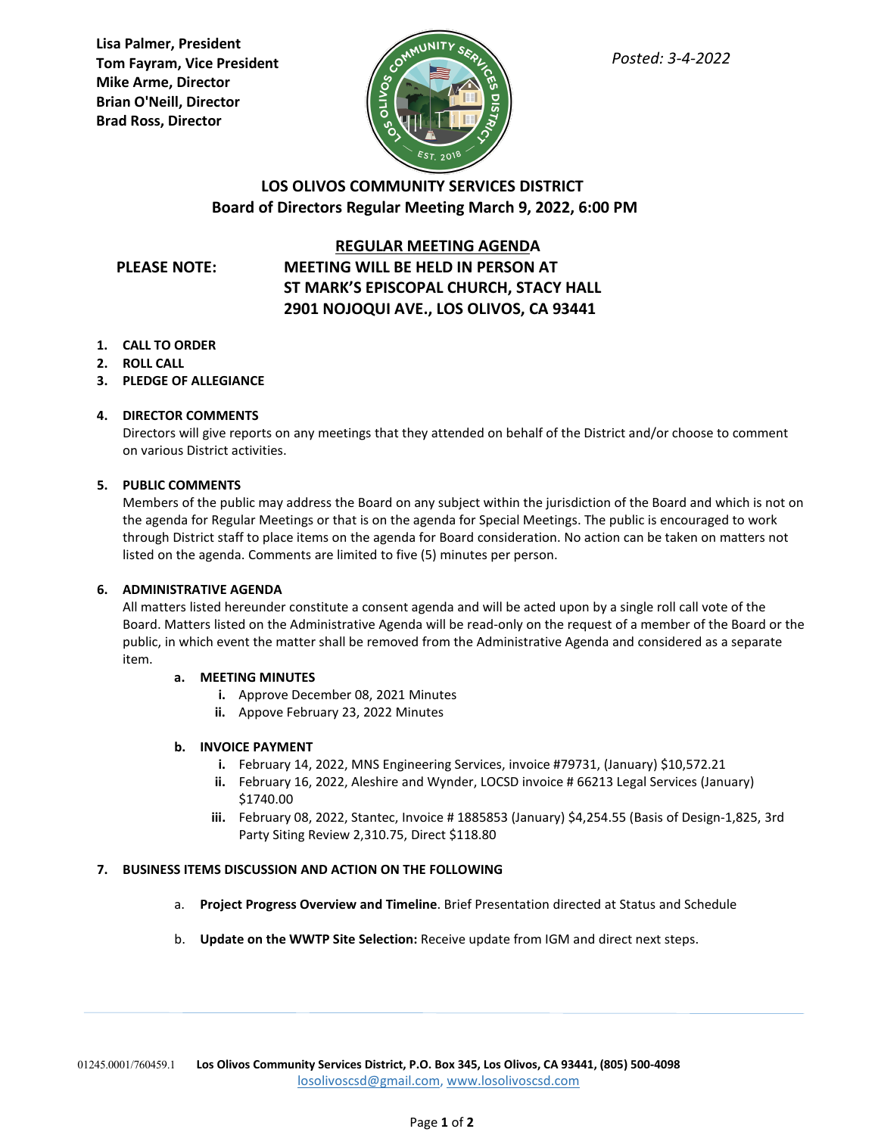**Lisa Palmer, President Tom Fayram, Vice President Mike Arme, Director Brian O'Neill, Director Brad Ross, Director**



# **LOS OLIVOS COMMUNITY SERVICES DISTRICT Board of Directors Regular Meeting March 9, 2022, 6:00 PM**

## **REGULAR MEETING AGENDA**

# **PLEASE NOTE: MEETING WILL BE HELD IN PERSON AT ST MARK'S EPISCOPAL CHURCH, STACY HALL 2901 NOJOQUI AVE., LOS OLIVOS, CA 93441**

- **1. CALL TO ORDER**
- **2. ROLL CALL**
- **3. PLEDGE OF ALLEGIANCE**

### **4. DIRECTOR COMMENTS**

Directors will give reports on any meetings that they attended on behalf of the District and/or choose to comment on various District activities.

### **5. PUBLIC COMMENTS**

Members of the public may address the Board on any subject within the jurisdiction of the Board and which is not on the agenda for Regular Meetings or that is on the agenda for Special Meetings. The public is encouraged to work through District staff to place items on the agenda for Board consideration. No action can be taken on matters not listed on the agenda. Comments are limited to five (5) minutes per person.

### **6. ADMINISTRATIVE AGENDA**

All matters listed hereunder constitute a consent agenda and will be acted upon by a single roll call vote of the Board. Matters listed on the Administrative Agenda will be read-only on the request of a member of the Board or the public, in which event the matter shall be removed from the Administrative Agenda and considered as a separate item.

### **a. MEETING MINUTES**

- **i.** Approve December 08, 2021 Minutes
- **ii.** Appove February 23, 2022 Minutes

#### **b. INVOICE PAYMENT**

- **i.** February 14, 2022, MNS Engineering Services, invoice #79731, (January) \$10,572.21
- **ii.** February 16, 2022, Aleshire and Wynder, LOCSD invoice # 66213 Legal Services (January) \$1740.00
- **iii.** February 08, 2022, Stantec, Invoice # 1885853 (January) \$4,254.55 (Basis of Design-1,825, 3rd Party Siting Review 2,310.75, Direct \$118.80

### **7. BUSINESS ITEMS DISCUSSION AND ACTION ON THE FOLLOWING**

- a. **Project Progress Overview and Timeline**. Brief Presentation directed at Status and Schedule
- b. **Update on the WWTP Site Selection:** Receive update from IGM and direct next steps.